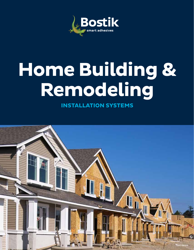

# **Home Building & Remodeling**

**INSTALLATION SYSTEMS**

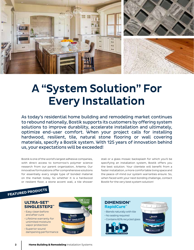

## A "System Solution" For Every Installation

As today's residential home building and remodeling market continues to rebound nationally, Bostik supports its customers by offering system solutions to improve durability, accelerate installation and ultimately, optimize end-user comfort. When your project calls for installing hardwood, resilient, tile, natural stone flooring or wall covering materials, specify a Bostik system. With 125 years of innovation behind us, your expectations will be exceeded!

Bostik is one of the world's largest adhesive companies, with direct access to tomorrow's polymer science research from our parent organization, Arkema. Our innovative formulations offer comprehensive solutions for essentially every single type of bonded material on the market today. So whether it is a hardwood or resilient floor, a stone accent wall, a tile shower

stall or a glass mosaic backsplash for which you'll be specifying an installation system, Bostik offers you the best solution. Your clientele will benefit from a faster installation, a more comfortable living space and the peace-of-mind our system warranties ensure. So, when faced with your next bonding challenge, contact Bostik for the very best system solution!

### **FEATURED PRODUCTS**

and after cure

• Superior sound



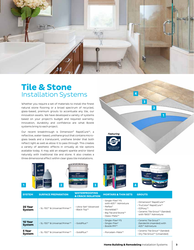

#### **Tile & Stone** Installation Systems

Whether you require a set of materials to install the finest natural stone flooring or a broad spectrum of recycled, glass-based, premium grouts to accentuate any tile, our innovation awaits. We have developed a variety of systems based on your project's budget and required warranty. Innovation, durability and confidence are what Bostik systems bring to each project.

Our recent breakthrough is Dimension® RapidCure™, a reflective, water-based, urethane grout that contains microglass beads and a translucent, urethane binder that both reflect light as well as allow it to pass through. This creates a variety of aesthetic effects in virtually all tile options available today. It may add an elegant sparkle and/or blend naturally with traditional tile and stone. It also creates a three dimensional effect within clear glass tile installations.





| <b>SYSTEM</b>            | <b>SURFACE PREPARATION</b>    | <b>WATERPROOFING</b><br><b>&amp; CRACK ISOLATION</b> | <b>MORTARS &amp; THIN SETS</b>                                                                                                | <b>GROUTS</b>                                                                                                            |
|--------------------------|-------------------------------|------------------------------------------------------|-------------------------------------------------------------------------------------------------------------------------------|--------------------------------------------------------------------------------------------------------------------------|
| 25 Year<br>System        | - SL-150™ & Universal Primer™ | - Ultra-Set® Advanced<br>- Black-Top™                | - Single-Flex® FS<br>with 425™ Admixture<br>$-$ Reflex <sup>®</sup><br>- StoneWall™<br>- Big Tile and Stone™<br>- Glass-Mate™ | - Dimension® RapidCure™<br>- TruColor® RapidCure™<br>- EZPoxv™<br>- Ceramic Tile Grout™ (Sanded)<br>with 1900™ Admixture |
| 10 Year<br><b>System</b> | - SL-150™ & Universal Primer™ | $-GoldPlus^{m}$                                      | - Single-Flex® FS<br>$-$ Single-Flex®<br>- Bostik PM™                                                                         | - Ceramic Tile Grout™<br>(Sanded & Unsanded) with<br>425™ Admixture                                                      |
| 5 Year<br><b>System</b>  | - SL-150™ & Universal Primer™ | - GoldPlus™                                          | - Porcelain-Mate™                                                                                                             | - Ceramic Tile Grout™ (Sanded)<br>- Dry Tile Grout™ (Unsanded)                                                           |